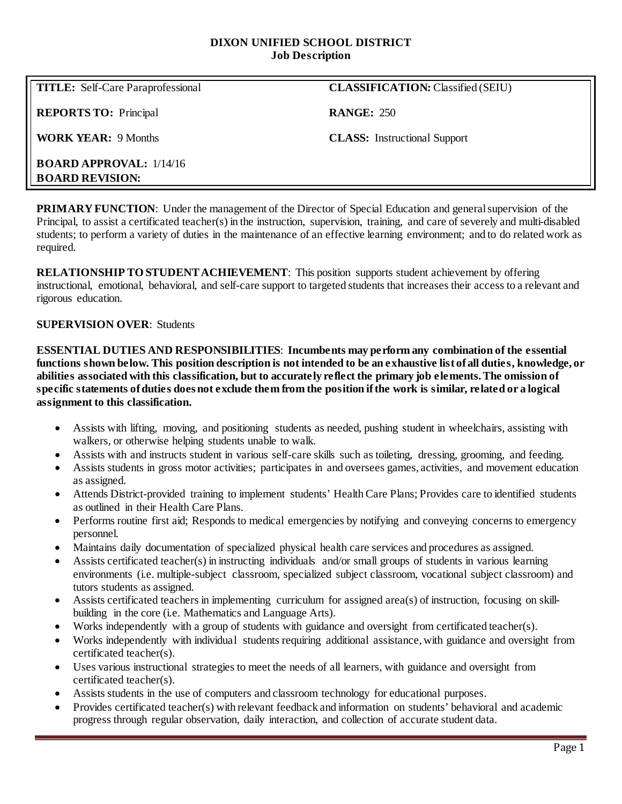#### **DIXON UNIFIED SCHOOL DISTRICT Job Description**

**TITLE:** Self-Care Paraprofessional **CLASSIFICATION:** Classified (SEIU)

**REPORTS TO:** Principal **RANGE:** 250

**WORK YEAR:** 9 Months **CLASS:** Instructional Support

**BOARD APPROVAL:** 1/14/16 **BOARD REVISION:**

**PRIMARY FUNCTION:** Under the management of the Director of Special Education and general supervision of the Principal, to assist a certificated teacher(s) in the instruction, supervision, training, and care of severely and multi-disabled students; to perform a variety of duties in the maintenance of an effective learning environment; and to do related work as required.

**RELATIONSHIP TO STUDENT ACHIEVEMENT**: This position supports student achievement by offering instructional, emotional, behavioral, and self-care support to targeted students that increases their access to a relevant and rigorous education.

# **SUPERVISION OVER**: Students

**ESSENTIAL DUTIES AND RESPONSIBILITIES**: **Incumbents may perform any combination of the essential functions shown below. This position description is not intended to be an exhaustive list of all duties, knowledge, or abilities associated with this classification, but to accurately reflect the primary job elements. The omission of specific statements of duties does not exclude them from the position if the work is similar, related or a logical assignment to this classification.**

- Assists with lifting, moving, and positioning students as needed, pushing student in wheelchairs, assisting with walkers, or otherwise helping students unable to walk.
- Assists with and instructs student in various self-care skills such as toileting, dressing, grooming, and feeding.
- Assists students in gross motor activities; participates in and oversees games, activities, and movement education as assigned.
- Attends District-provided training to implement students' Health Care Plans; Provides care to identified students as outlined in their Health Care Plans.
- Performs routine first aid; Responds to medical emergencies by notifying and conveying concerns to emergency personnel.
- Maintains daily documentation of specialized physical health care services and procedures as assigned.
- Assists certificated teacher(s) in instructing individuals and/or small groups of students in various learning environments (i.e. multiple-subject classroom, specialized subject classroom, vocational subject classroom) and tutors students as assigned.
- Assists certificated teachers in implementing curriculum for assigned area(s) of instruction, focusing on skillbuilding in the core (i.e. Mathematics and Language Arts).
- Works independently with a group of students with guidance and oversight from certificated teacher(s).
- Works independently with individual students requiring additional assistance, with guidance and oversight from certificated teacher(s).
- Uses various instructional strategies to meet the needs of all learners, with guidance and oversight from certificated teacher(s).
- Assists students in the use of computers and classroom technology for educational purposes.
- Provides certificated teacher(s) with relevant feedback and information on students' behavioral and academic progress through regular observation, daily interaction, and collection of accurate student data.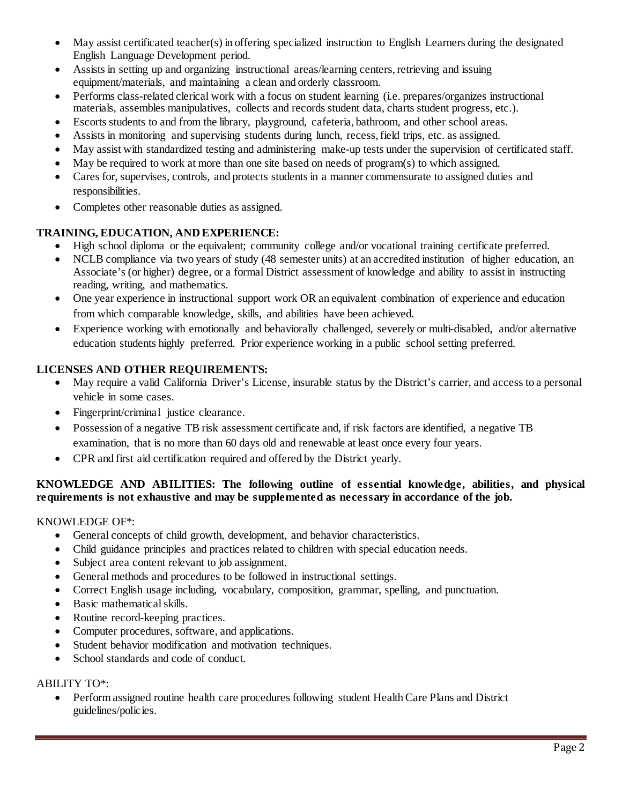- May assist certificated teacher(s) in offering specialized instruction to English Learners during the designated English Language Development period.
- Assists in setting up and organizing instructional areas/learning centers, retrieving and issuing equipment/materials, and maintaining a clean and orderly classroom.
- Performs class-related clerical work with a focus on student learning (i.e. prepares/organizes instructional materials, assembles manipulatives, collects and records student data, charts student progress, etc.).
- Escorts students to and from the library, playground, cafeteria, bathroom, and other school areas.
- Assists in monitoring and supervising students during lunch, recess, field trips, etc. as assigned.
- May assist with standardized testing and administering make-up tests under the supervision of certificated staff.
- May be required to work at more than one site based on needs of program(s) to which assigned.
- Cares for, supervises, controls, and protects students in a manner commensurate to assigned duties and responsibilities.
- Completes other reasonable duties as assigned.

# **TRAINING, EDUCATION, AND EXPERIENCE:**

- High school diploma or the equivalent; community college and/or vocational training certificate preferred.
- NCLB compliance via two years of study (48 semester units) at an accredited institution of higher education, an Associate's (or higher) degree, or a formal District assessment of knowledge and ability to assist in instructing reading, writing, and mathematics.
- One year experience in instructional support work OR an equivalent combination of experience and education from which comparable knowledge, skills, and abilities have been achieved.
- Experience working with emotionally and behaviorally challenged, severely or multi-disabled, and/or alternative education students highly preferred. Prior experience working in a public school setting preferred.

# **LICENSES AND OTHER REQUIREMENTS:**

- May require a valid California Driver's License, insurable status by the District's carrier, and access to a personal vehicle in some cases.
- Fingerprint/criminal justice clearance.
- Possession of a negative TB risk assessment certificate and, if risk factors are identified, a negative TB examination, that is no more than 60 days old and renewable at least once every four years.
- CPR and first aid certification required and offered by the District yearly.

# **KNOWLEDGE AND ABILITIES: The following outline of essential knowledge, abilities, and physical requirements is not exhaustive and may be supplemented as necessary in accordance of the job.**

# KNOWLEDGE OF\*:

- General concepts of child growth, development, and behavior characteristics.
- Child guidance principles and practices related to children with special education needs.
- Subject area content relevant to job assignment.
- General methods and procedures to be followed in instructional settings.
- Correct English usage including, vocabulary, composition, grammar, spelling, and punctuation.
- Basic mathematical skills.
- Routine record-keeping practices.
- Computer procedures, software, and applications.
- Student behavior modification and motivation techniques.
- School standards and code of conduct.

#### ABILITY TO\*:

• Perform assigned routine health care procedures following student Health Care Plans and District guidelines/policies.